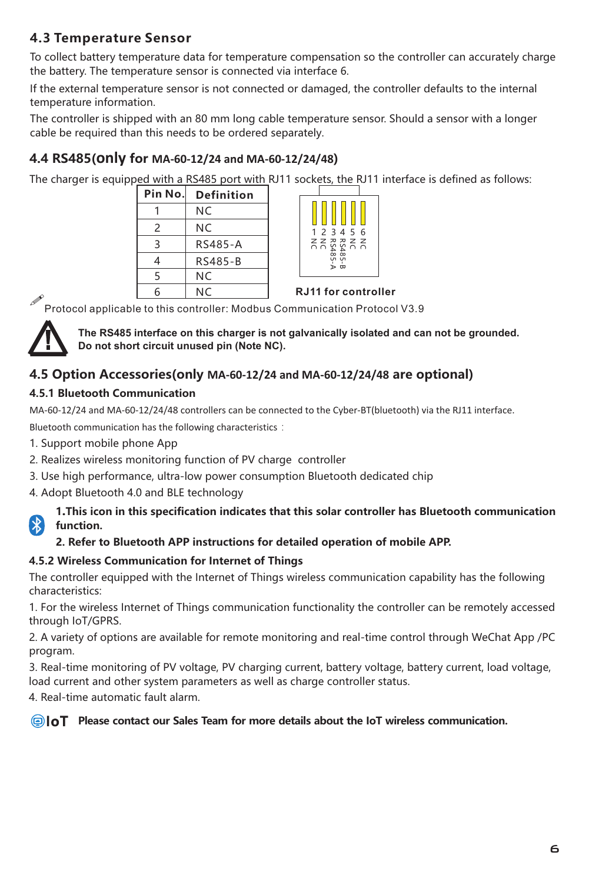### **4.3 Temperature Sensor**

To collect battery temperature data for temperature compensation so the controller can accurately charge the battery. The temperature sensor is connected via interface 6.

If the external temperature sensor is not connected or damaged, the controller defaults to the internal temperature information.

The controller is shipped with an 80 mm long cable temperature sensor. Should a sensor with a longer cable be required than this needs to be ordered separately.

#### **4.4 RS485(only for MA-60-12/24 and MA-60-12/24/48)**

The charger is equipped with a RS485 port with RJ11 sockets, the RJ11 interface is defined as follows:

| Pin No.       | <b>Definition</b> |  |
|---------------|-------------------|--|
|               | NC.               |  |
| $\mathcal{P}$ | NC.               |  |
| З             | RS485-A           |  |
| 4             | RS485-B           |  |
| 5             | NC.               |  |
| հ             | NC.               |  |



etter the Controller (New York of the Protocol applicable to this controller: Modbus Communication Protocol V3.9<br>Protocol applicable to this controller: Modbus Communication Protocol V3.9



**The RS485 interface on this charger is not galvanically isolated and can not be grounded. Do not short circuit unused pin (Note NC).**

#### **4.5 Option Accessories(only MA-60-12/24 and MA-60-12/24/48 are optional)**

#### **4.5.1 Bluetooth Communication**

MA-60-12/24 and MA-60-12/24/48 controllers can be connected to the Cyber-BT(bluetooth) via the RJ11 interface.

Bluetooth communication has the following characteristics:

- 1. Support mobile phone App
- 2. Realizes wireless monitoring function of PV charge controller
- 3. Use high performance, ultra-low power consumption Bluetooth dedicated chip
- 4. Adopt Bluetooth 4.0 and BLE technology

**1.This icon in this specification indicates that this solar controller has Bluetooth communication function.** 

#### **2. Refer to Bluetooth APP instructions for detailed operation of mobile APP.**

#### **4.5.2 Wireless Communication for Internet of Things**

The controller equipped with the Internet of Things wireless communication capability has the following characteristics:

1. For the wireless Internet of Things communication functionality the controller can be remotely accessed through IoT/GPRS.

2. A variety of options are available for remote monitoring and real-time control through WeChat App /PC program.

3. Real-time monitoring of PV voltage, PV charging current, battery voltage, battery current, load voltage, load current and other system parameters as well as charge controller status.

4. Real-time automatic fault alarm.

**Please contact our Sales Team for more details about the IoT wireless communication.**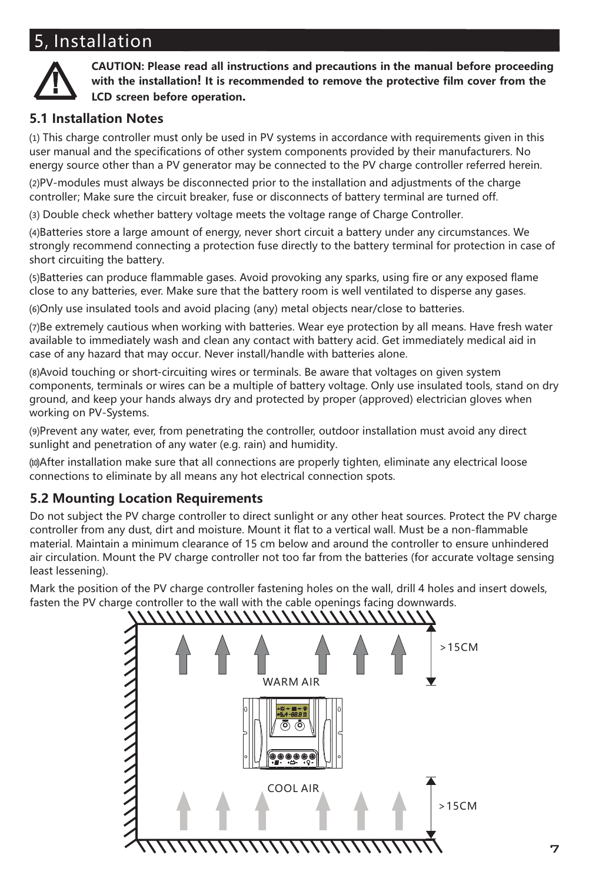## 5, Installation



**CAUTION: Please read all instructions and precautions in the manual before proceeding with the installation! It is recommended to remove the protective film cover from the LCD screen before operation.**

#### **5.1 Installation Notes**

⑴ This charge controller must only be used in PV systems in accordance with requirements given in this user manual and the specifications of other system components provided by their manufacturers. No energy source other than a PV generator may be connected to the PV charge controller referred herein.

⑵PV-modules must always be disconnected prior to the installation and adjustments of the charge controller; Make sure the circuit breaker, fuse or disconnects of battery terminal are turned off.

⑶ Double check whether battery voltage meets the voltage range of Charge Controller.

⑷Batteries store a large amount of energy, never short circuit a battery under any circumstances. We strongly recommend connecting a protection fuse directly to the battery terminal for protection in case of short circuiting the battery.

⑸Batteries can produce flammable gases. Avoid provoking any sparks, using fire or any exposed flame close to any batteries, ever. Make sure that the battery room is well ventilated to disperse any gases.

⑹Only use insulated tools and avoid placing (any) metal objects near/close to batteries.

⑺Be extremely cautious when working with batteries. Wear eye protection by all means. Have fresh water available to immediately wash and clean any contact with battery acid. Get immediately medical aid in case of any hazard that may occur. Never install/handle with batteries alone.

⑻Avoid touching or short-circuiting wires or terminals. Be aware that voltages on given system components, terminals or wires can be a multiple of battery voltage. Only use insulated tools, stand on dry ground, and keep your hands always dry and protected by proper (approved) electrician gloves when working on PV-Systems.

⑼Prevent any water, ever, from penetrating the controller, outdoor installation must avoid any direct sunlight and penetration of any water (e.g. rain) and humidity.

⑽After installation make sure that all connections are properly tighten, eliminate any electrical loose connections to eliminate by all means any hot electrical connection spots.

#### **5.2 Mounting Location Requirements**

Do not subject the PV charge controller to direct sunlight or any other heat sources. Protect the PV charge controller from any dust, dirt and moisture. Mount it flat to a vertical wall. Must be a non-flammable material. Maintain a minimum clearance of 15 cm below and around the controller to ensure unhindered air circulation. Mount the PV charge controller not too far from the batteries (for accurate voltage sensing least lessening).

Mark the position of the PV charge controller fastening holes on the wall, drill 4 holes and insert dowels, fasten the PV charge controller to the wall with the cable openings facing downwards.

# >15CM WARM AIR COOL AIR >15CM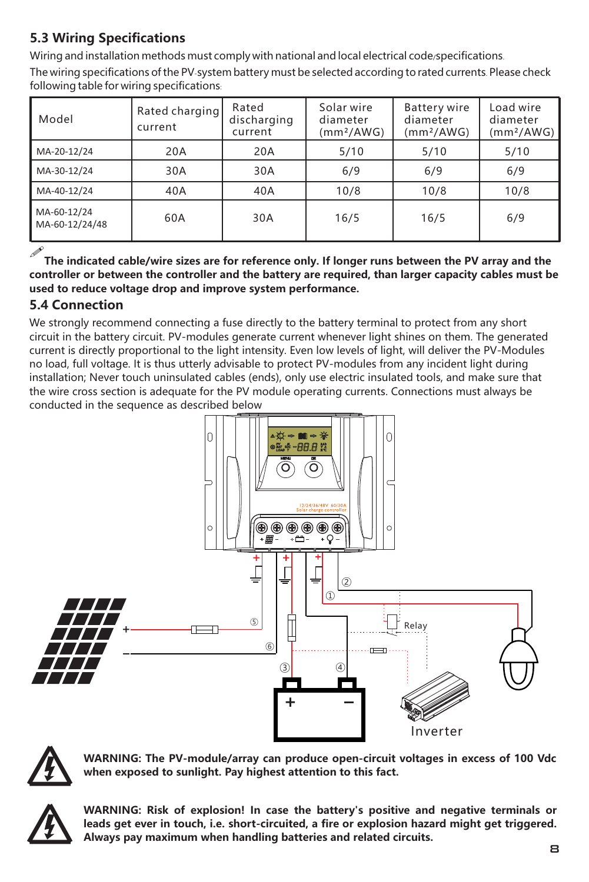## **5.3 Wiring Specifications**

Wiring and installation methods must comply with national and local electrical code/specifications.

The wiring specifications ofthe PV-system battery must be selected according to rated currents. Please check following table for wiring specifications:

| Model                         | Rated charging<br>current | Rated<br>discharging<br>current | Solar wire<br>diameter<br>(mm <sup>2</sup> /AWG) | <b>Battery wire</b><br>diameter<br>(mm <sup>2</sup> /AWG) | Load wire<br>diameter<br>(mm <sup>2</sup> /AWG) |
|-------------------------------|---------------------------|---------------------------------|--------------------------------------------------|-----------------------------------------------------------|-------------------------------------------------|
| MA-20-12/24                   | 20A                       | 20A                             | 5/10                                             | 5/10                                                      | 5/10                                            |
| MA-30-12/24                   | 30A                       | 30A                             | 6/9                                              | 6/9                                                       | 6/9                                             |
| MA-40-12/24                   | 40A                       | 40A                             | 10/8                                             | 10/8                                                      | 10/8                                            |
| MA-60-12/24<br>MA-60-12/24/48 | 60A                       | 30A                             | 16/5                                             | 16/5                                                      | 6/9                                             |

 $\mathscr{I}$ The indicated cable/wire sizes are for reference only. If longer runs between the PV array and the **controller or between the controller and the battery are required, than larger capacity cables must be used to reduce voltage drop and improve system performance.**

### **5.4 Connection**

We strongly recommend connecting a fuse directly to the battery terminal to protect from any short circuit in the battery circuit. PV-modules generate current whenever light shines on them. The generated current is directly proportional to the light intensity. Even low levels of light, will deliver the PV-Modules no load, full voltage. It is thus utterly advisable to protect PV-modules from any incident light during installation; Never touch uninsulated cables (ends), only use electric insulated tools, and make sure that the wire cross section is adequate for the PV module operating currents. Connections must always be conducted in the sequence as described below





**WARNING: The PV-module/array can produce open-circuit voltages in excess of 100 Vdc when exposed to sunlight. Pay highest attention to this fact.**



**WARNING: Risk of explosion! In case the battery's positive and negative terminals or** leads get ever in touch, i.e. short-circuited, a fire or explosion hazard might get triggered. **Always pay maximum when handling batteries and related circuits.**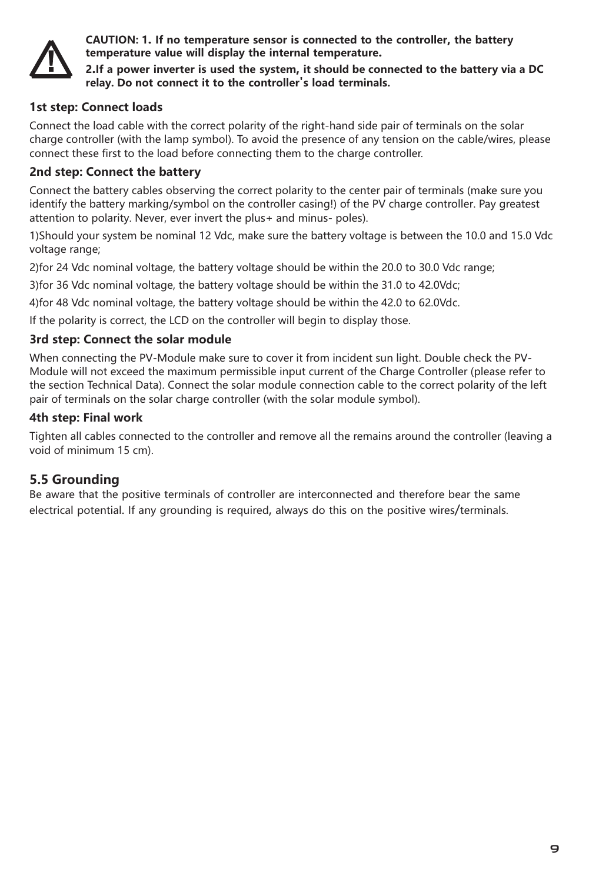

**CAUTION: 1. If no temperature sensor is connected to the controller, the battery temperature value will display the internal temperature.**

**2.If a power inverter is used the system, it should be connected to the battery via a DC relay. Do not connect it to the controller's load terminals.**

#### **1st step: Connect loads**

Connect the load cable with the correct polarity of the right-hand side pair of terminals on the solar charge controller (with the lamp symbol). To avoid the presence of any tension on the cable/wires, please connect these first to the load before connecting them to the charge controller.

#### **2nd step: Connect the battery**

Connect the battery cables observing the correct polarity to the center pair of terminals (make sure you identify the battery marking/symbol on the controller casing!) of the PV charge controller. Pay greatest attention to polarity. Never, ever invert the plus+ and minus- poles).

1)Should your system be nominal 12 Vdc, make sure the battery voltage is between the 10.0 and 15.0 Vdc voltage range;

2)for 24 Vdc nominal voltage, the battery voltage should be within the 20.0 to 30.0 Vdc range;

3)for 36 Vdc nominal voltage, the battery voltage should be within the 31.0 to 42.0Vdc;

4)for 48 Vdc nominal voltage, the battery voltage should be within the 42.0 to 62.0Vdc.

If the polarity is correct, the LCD on the controller will begin to display those.

#### **3rd step: Connect the solar module**

When connecting the PV-Module make sure to cover it from incident sun light. Double check the PV-Module will not exceed the maximum permissible input current of the Charge Controller (please refer to the section Technical Data). Connect the solar module connection cable to the correct polarity of the left pair of terminals on the solar charge controller (with the solar module symbol).

#### **4th step: Final work**

Tighten all cables connected to the controller and remove all the remains around the controller (leaving a void of minimum 15 cm).

#### **5.5 Grounding**

Be aware that the positive terminals of controller are interconnected and therefore bear the same electrical potential. If any grounding is required, always do this on the positive wires/terminals.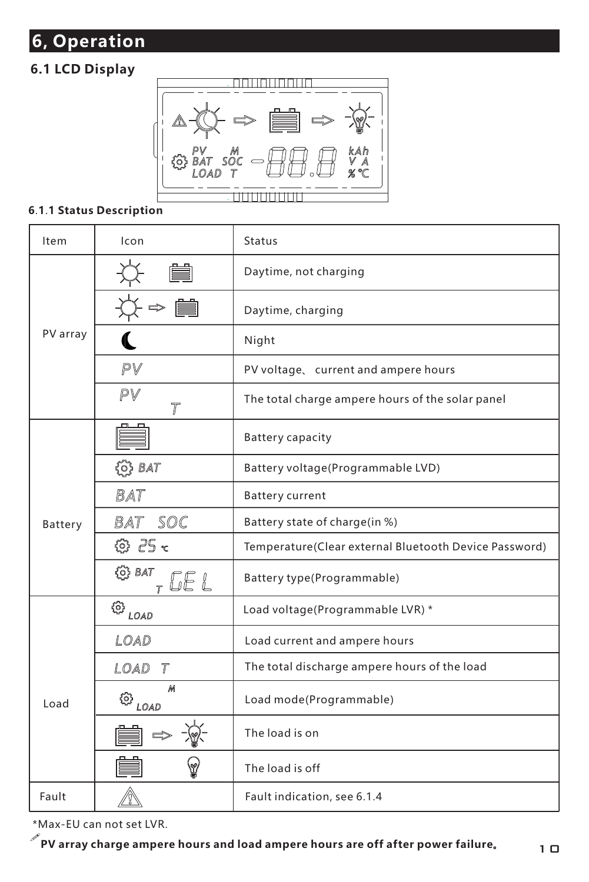## **6, Operation**

## **6.1 LCD Display**



#### **6**.**1**.**1 Status Description**

| <b>Item</b> | Icon                                           | Status                                                |
|-------------|------------------------------------------------|-------------------------------------------------------|
|             |                                                | Daytime, not charging                                 |
|             |                                                | Daytime, charging                                     |
| PV array    |                                                | Night                                                 |
|             | PV                                             | PV voltage, current and ampere hours                  |
|             | PV<br>$\overline{r}$                           | The total charge ampere hours of the solar panel      |
|             |                                                | <b>Battery capacity</b>                               |
|             | $\{0\}$ BAT                                    | Battery voltage(Programmable LVD)                     |
|             | <b>BAT</b>                                     | <b>Battery current</b>                                |
| Battery     | BAT SOC                                        | Battery state of charge(in %)                         |
|             | © 25 <                                         | Temperature(Clear external Bluetooth Device Password) |
|             | (O) BAT                                        | Battery type(Programmable)                            |
|             | $\circledcirc_{\scriptscriptstyle{\sf{LOAD}}}$ | Load voltage(Programmable LVR)*                       |
|             | LOAD                                           | Load current and ampere hours                         |
|             | LOAD T                                         | The total discharge ampere hours of the load          |
| Load        | М<br>$\circledcirc_{\textit{load}$             | Load mode(Programmable)                               |
|             |                                                | The load is on                                        |
|             |                                                | The load is off                                       |
| Fault       |                                                | Fault indication, see 6.1.4                           |

\*Max-EU can not set LVR.

!**PV array charge ampere hours and load ampere hours are off after power failure。**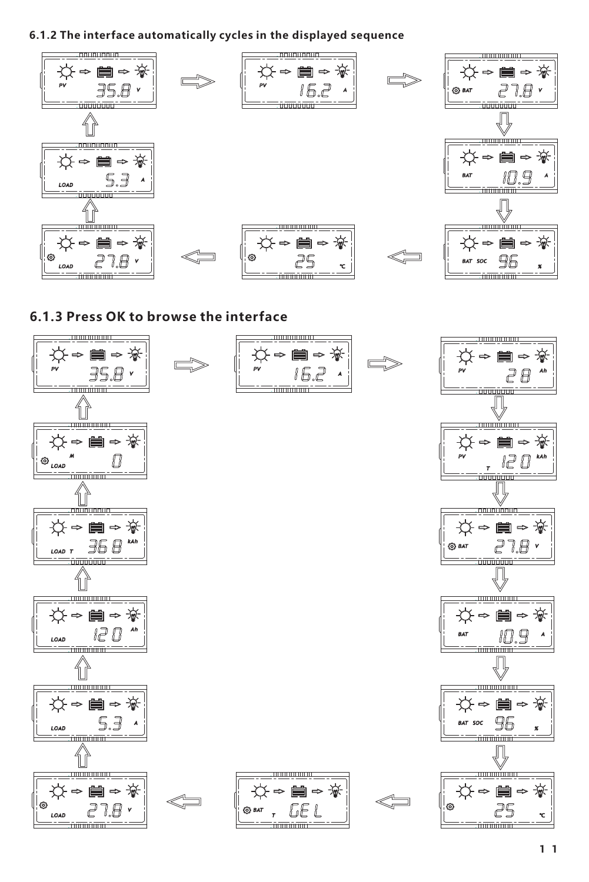**6.1.2 The interface automatically cycles in the displayed sequence**



**6.1.3 Press OK to browse the interface**

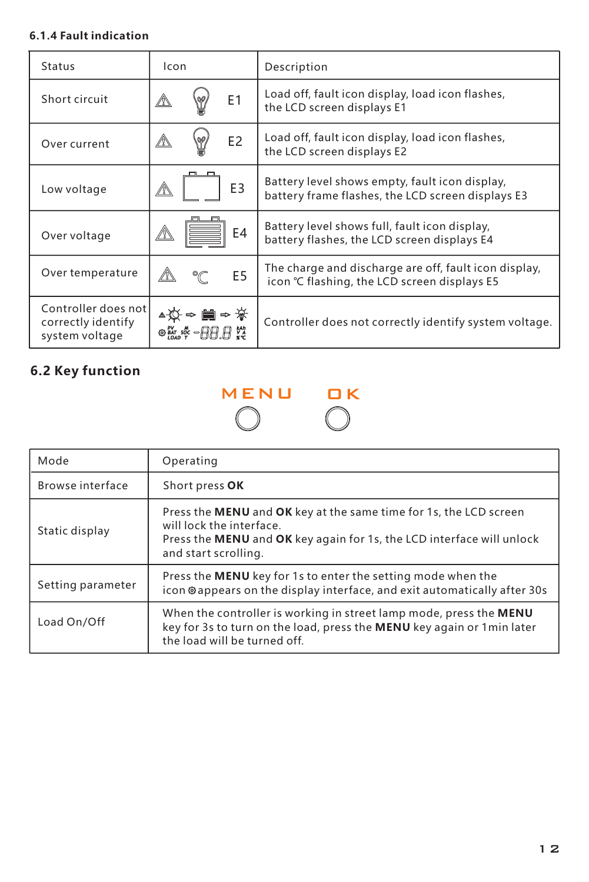#### **6.1.4 Fault indication**

| Status                                                      | Icon                       | Description                                                                                          |
|-------------------------------------------------------------|----------------------------|------------------------------------------------------------------------------------------------------|
| Short circuit                                               | E1                         | Load off, fault icon display, load icon flashes,<br>the LCD screen displays E1                       |
| Over current                                                | E <sub>2</sub>             | Load off, fault icon display, load icon flashes,<br>the LCD screen displays E2                       |
| Low voltage                                                 | E <sub>3</sub>             | Battery level shows empty, fault icon display,<br>battery frame flashes, the LCD screen displays E3  |
| Over voltage                                                | E4                         | Battery level shows full, fault icon display,<br>battery flashes, the LCD screen displays E4         |
| Over temperature                                            | E <sub>5</sub><br>°∩       | The charge and discharge are off, fault icon display,<br>icon ℃ flashing, the LCD screen displays E5 |
| Controller does not<br>correctly identify<br>system voltage | ∎⇒ ¥<br>◎ 55: 55 - 月月 月 72 | Controller does not correctly identify system voltage.                                               |

## **6.2 Key function**

# MENU OK

| Mode              | Operating                                                                                                                                                                                      |
|-------------------|------------------------------------------------------------------------------------------------------------------------------------------------------------------------------------------------|
| Browse interface  | Short press OK                                                                                                                                                                                 |
| Static display    | Press the MENU and OK key at the same time for 1s, the LCD screen<br>will lock the interface.<br>Press the MENU and OK key again for 1s, the LCD interface will unlock<br>and start scrolling. |
| Setting parameter | Press the MENU key for 1s to enter the setting mode when the<br>icon @appears on the display interface, and exit automatically after 30s                                                       |
| Load On/Off       | When the controller is working in street lamp mode, press the MENU<br>key for 3s to turn on the load, press the MENU key again or 1 min later<br>the load will be turned off.                  |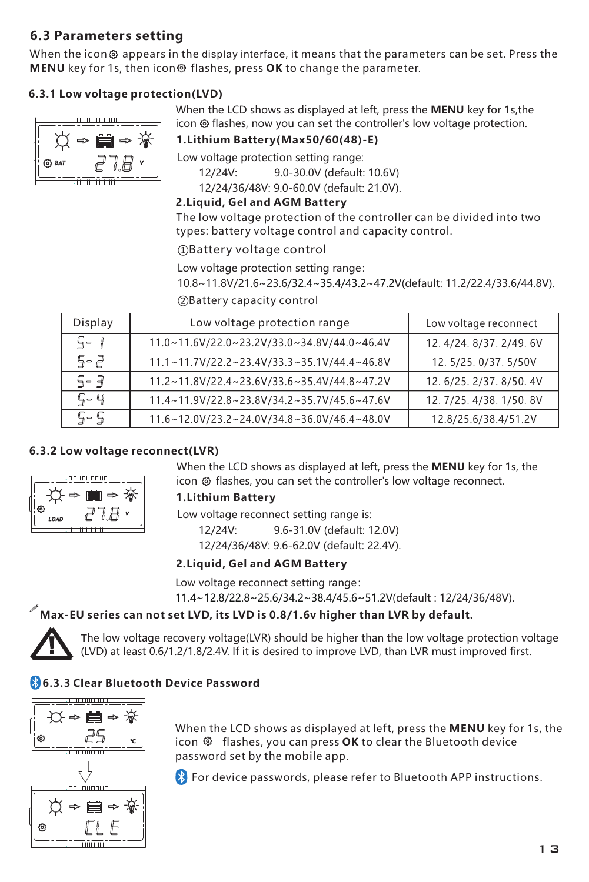#### **6.3 Parameters setting**

When the icon  $\otimes$  appears in the display interface, it means that the parameters can be set. Press the **MENU** key for 1s, then icon flashes, press **OK** to change the parameter.

#### **6.3.1 Low voltage protection(LVD)**



When the LCD shows as displayed at left, press the **MENU** key for 1s,the icon <sup>®</sup> flashes, now you can set the controller's low voltage protection.

**1.Lithium Battery(Max50/60(48)-E)**

Low voltage protection setting range:

12/24V: 9.0-30.0V (default: 10.6V)

12/24/36/48V: 9.0-60.0V (default: 21.0V).

#### **2.Liquid, Gel and AGM Battery**

The low voltage protection of the controller can be divided into two types: battery voltage control and capacity control.

①Battery voltage control

Low voltage protection setting range:

②Battery capacity control 10.8~11.8V/21.6~23.6/32.4~35.4/43.2~47.2V(default: 11.2/22.4/33.6/44.8V).

| Display | Low voltage protection range                | Low voltage reconnect    |
|---------|---------------------------------------------|--------------------------|
| ς.      | 11.0~11.6V/22.0~23.2V/33.0~34.8V/44.0~46.4V | 12.4/24.8/37.2/49.6V     |
| $5 - 2$ | 11.1~11.7V/22.2~23.4V/33.3~35.1V/44.4~46.8V | 12.5/25.0/37.5/50V       |
| 5-3     | 11.2~11.8V/22.4~23.6V/33.6~35.4V/44.8~47.2V | 12. 6/25. 2/37. 8/50. 4V |
| 5-4     | 11.4~11.9V/22.8~23.8V/34.2~35.7V/45.6~47.6V | 12.7/25.4/38.1/50.8V     |
| + - ל   | 11.6~12.0V/23.2~24.0V/34.8~36.0V/46.4~48.0V | 12.8/25.6/38.4/51.2V     |

#### **6.3.2 Low voltage reconnect(LVR)**



#### **1.Lithium Battery**

Low voltage reconnect setting range is:

 12/24V: 9.6-31.0V (default: 12.0V) 12/24/36/48V: 9.6-62.0V (default: 22.4V).

#### **2.Liquid, Gel and AGM Battery**

Low voltage reconnect setting range:

11.4~12.8/22.8~25.6/34.2~38.4/45.6~51.2V(default : 12/24/36/48V).

#### !**Max-EU series can not set LVD, its LVD is 0.8/1.6v higher than LVR by default.**



**T**he low voltage recovery voltage(LVR) should be higher than the low voltage protection voltage (LVD) at least 0.6/1.2/1.8/2.4V. If it is desired to improve LVD, than LVR must improved first.

#### **6.3.3 Clear Bluetooth Device Password**



When the LCD shows as displayed at left, press the **MENU** key for 1s, the icon  $\otimes$  flashes, you can press OK to clear the Bluetooth device password set by the mobile app.

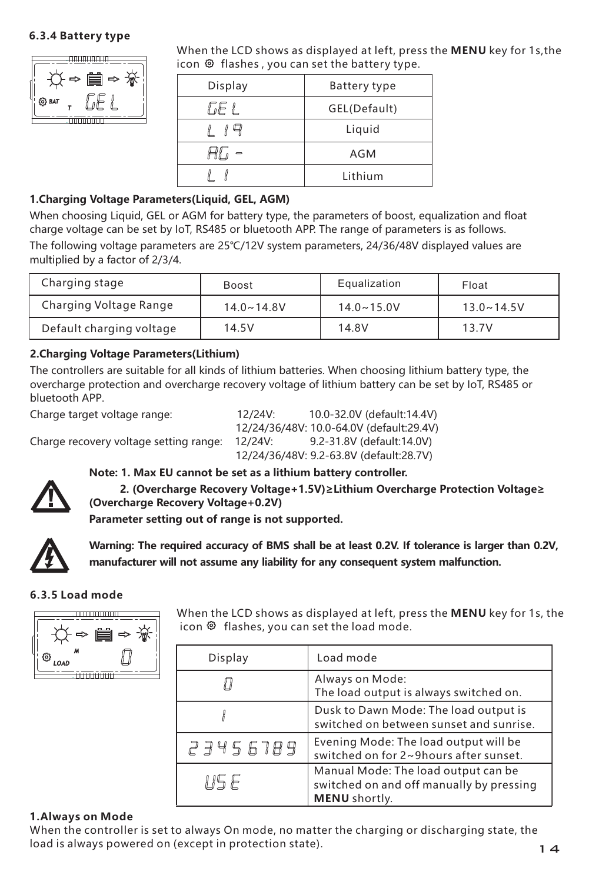#### **6.3.4 Battery type**



When the LCD shows as displayed at left, press the **MENU** key for 1s,the icon  $\bullet$  flashes , you can set the battery type.

| Display | Battery type |
|---------|--------------|
| GE L    | GEL(Default) |
|         | Liquid       |
|         | AGM          |
|         | Lithium      |

#### **1.Charging Voltage Parameters(Liquid, GEL, AGM)**

When choosing Liquid, GEL or AGM for battery type, the parameters of boost, equalization and float charge voltage can be set by IoT, RS485 or bluetooth APP. The range of parameters is as follows.

The following voltage parameters are 25℃/12V system parameters, 24/36/48V displayed values are multiplied by a factor of 2/3/4.

| Charging stage           | Boost          | Equalization   | Float          |
|--------------------------|----------------|----------------|----------------|
| Charging Voltage Range   | $14.0 - 14.8V$ | $14.0 - 15.0V$ | $13.0 - 14.5V$ |
| Default charging voltage | 14.5V          | 14.8V          | 13.7V          |

#### **2. thium Charging Voltage Parameters(Li )**

The controllers are suitable for all kinds of lithium batteries. When choosing lithium battery type, the overcharge protection and overcharge recovery voltage of lithium battery can be set by IoT, RS485 or bluetooth APP.

Charge target voltage range: 12/24V: 10.0-32.0V (default:14.4V) 12/24/36/48V: 10.0-64.0V (default:29.4V) Charge recovery voltage setting range: 12/24V: 12/24/36/48V: 9.2-63.8V (default:28.7V)



#### **Note: 1. Max EU cannot be set as a lithium battery controller.**

 **2. (Overcharge Recovery Voltage+1.5V)≥Lithium Overcharge Protection Voltage≥ (Overcharge Recovery Voltage+0.2V)** 

**Parameter setting out of range is not supported.**



**Warning: The required accuracy of BMS shall be at least 0.2V. If tolerance is larger than 0.2V, manufacturer will not assume any liability for any consequent system malfunction.**

#### **6.3.5 Load mode**



When the LCD shows as displayed at left, press the **MENU** key for 1s, the icon <sup>®</sup> flashes, you can set the load mode.

| Display  | Load mode                                                                                        |
|----------|--------------------------------------------------------------------------------------------------|
|          | Always on Mode:<br>The load output is always switched on.                                        |
|          | Dusk to Dawn Mode: The load output is<br>switched on between sunset and sunrise.                 |
| 23456789 | Evening Mode: The load output will be<br>switched on for 2~9hours after sunset.                  |
| 115 F    | Manual Mode: The load output can be<br>switched on and off manually by pressing<br>MENU shortly. |

#### **1.Always on Mode**

When the controller is set to always On mode, no matter the charging or discharging state, the load is always powered on (except in protection state). The state of the state of the state of the state of the state of the state of the state of the state of the state of the state of the state of the state of the state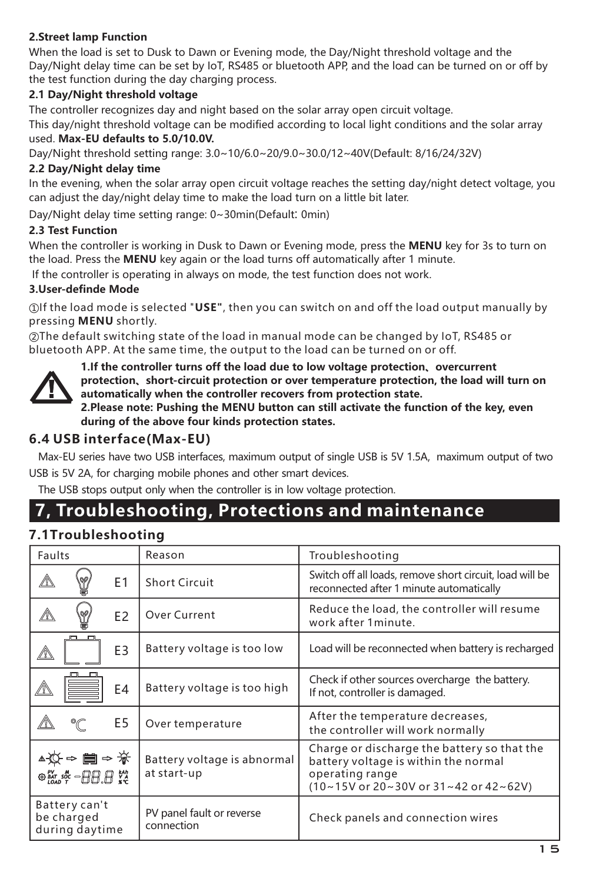#### **2.Street lamp Function**

When the load is set to Dusk to Dawn or Evening mode, the Day/Night threshold voltage and the Day/Night delay time can be set by IoT, RS485 or bluetooth APP, and the load can be turned on or off by the test function during the day charging process.

#### **2.1 Day/Night threshold voltage**

The controller recognizes day and night based on the solar array open circuit voltage.

This day/night threshold voltage can be modified according to local light conditions and the solar array used. **Max-EU defaults to 5.0/10.0V.**

Day/Night threshold setting range: 3.0~10/6.0~20/9.0~30.0/12~40V(Default: 8/16/24/32V)

#### **2.2 Day/Night delay time**

In the evening, when the solar array open circuit voltage reaches the setting day/night detect voltage, you can adjust the day/night delay time to make the load turn on a little bit later.

Day/Night delay time setting range: 0~30min(Default: 0min)

#### **2.3 Test Function**

When the controller is working in Dusk to Dawn or Evening mode, press the **MENU** key for 3s to turn on the load. Press the **MENU** key again or the load turns off automatically after 1 minute.

If the controller is operating in always on mode, the test function does not work.

#### **3.User-definde Mode**

①If the load mode is selected "**USE"**, then you can switch on and off the load output manually by pressing **MENU** shortly.

②The default switching state of the load in manual mode can be changed by IoT, RS485 or bluetooth APP. At the same time, the output to the load can be turned on or off.



**1.If the controller turns off the load due to low voltage protection、overcurrent protection、short-circuit protection or over temperature protection, the load will turn on automatically when the controller recovers from protection state. 2.Please note: Pushing the MENU button can still activate the function of the key, even** 

**during of the above four kinds protection states.**

#### **6.4 USB interface(Max-EU)**

Max-EU series have two USB interfaces, maximum output of single USB is 5V 1.5A, maximum output of two

USB is 5V 2A, for charging mobile phones and other smart devices.

The USB stops output only when the controller is in low voltage protection.

## **7, Troubleshooting, Protections and maintenance**

#### **7.1Troubleshooting**

| Faults |                                                                                                                                                                                                          |                | Reason                                     | Troubleshooting                                                                                                                                 |
|--------|----------------------------------------------------------------------------------------------------------------------------------------------------------------------------------------------------------|----------------|--------------------------------------------|-------------------------------------------------------------------------------------------------------------------------------------------------|
| ⚠      | 89                                                                                                                                                                                                       | E1             | Short Circuit                              | Switch off all loads, remove short circuit, load will be<br>reconnected after 1 minute automatically                                            |
| Δ      | ۳                                                                                                                                                                                                        | E <sub>2</sub> | Over Current                               | Reduce the load, the controller will resume<br>work after 1 minute.                                                                             |
| ⚠      |                                                                                                                                                                                                          | E3             | Battery voltage is too low                 | Load will be reconnected when battery is recharged                                                                                              |
|        | n                                                                                                                                                                                                        | E4             | Battery voltage is too high                | Check if other sources overcharge the battery.<br>If not, controller is damaged.                                                                |
|        | °C                                                                                                                                                                                                       | E5             | Over temperature                           | After the temperature decreases,<br>the controller will work normally                                                                           |
|        | ▲☆←■~※<br>$\circ$ $\stackrel{\text{\tiny{W}}}{\text{\tiny{W}}}\stackrel{\text{\tiny{w}}}{\text{\tiny{w}}}$ – $\stackrel{\text{\tiny{w}}}{\text{\tiny{H}}}$ $\stackrel{\text{\tiny{w}}}{\text{\tiny{w}}}$ |                | Battery voltage is abnormal<br>at start-up | Charge or discharge the battery so that the<br>battery voltage is within the normal<br>operating range<br>(10~15V or 20~30V or 31~42 or 42~62V) |
|        | Battery can't<br>be charged<br>during daytime                                                                                                                                                            |                | PV panel fault or reverse<br>connection    | Check panels and connection wires                                                                                                               |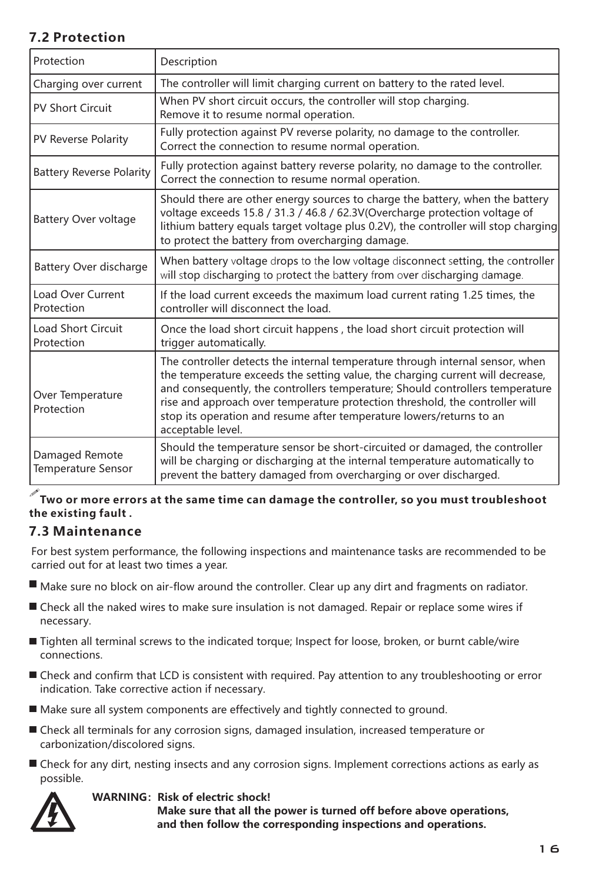## **7.2 Protection**

| Protection                                  | Description                                                                                                                                                                                                                                                                                                                                                                                                                   |
|---------------------------------------------|-------------------------------------------------------------------------------------------------------------------------------------------------------------------------------------------------------------------------------------------------------------------------------------------------------------------------------------------------------------------------------------------------------------------------------|
| Charging over current                       | The controller will limit charging current on battery to the rated level.                                                                                                                                                                                                                                                                                                                                                     |
| <b>PV Short Circuit</b>                     | When PV short circuit occurs, the controller will stop charging.<br>Remove it to resume normal operation.                                                                                                                                                                                                                                                                                                                     |
| PV Reverse Polarity                         | Fully protection against PV reverse polarity, no damage to the controller.<br>Correct the connection to resume normal operation.                                                                                                                                                                                                                                                                                              |
| <b>Battery Reverse Polarity</b>             | Fully protection against battery reverse polarity, no damage to the controller.<br>Correct the connection to resume normal operation.                                                                                                                                                                                                                                                                                         |
| Battery Over voltage                        | Should there are other energy sources to charge the battery, when the battery<br>voltage exceeds 15.8 / 31.3 / 46.8 / 62.3V(Overcharge protection voltage of<br>lithium battery equals target voltage plus 0.2V), the controller will stop charging<br>to protect the battery from overcharging damage.                                                                                                                       |
| Battery Over discharge                      | When battery voltage drops to the low voltage disconnect setting, the controller<br>will stop discharging to protect the battery from over discharging damage.                                                                                                                                                                                                                                                                |
| Load Over Current<br>Protection             | If the load current exceeds the maximum load current rating 1.25 times, the<br>controller will disconnect the load.                                                                                                                                                                                                                                                                                                           |
| <b>Load Short Circuit</b><br>Protection     | Once the load short circuit happens, the load short circuit protection will<br>trigger automatically.                                                                                                                                                                                                                                                                                                                         |
| Over Temperature<br>Protection              | The controller detects the internal temperature through internal sensor, when<br>the temperature exceeds the setting value, the charging current will decrease,<br>and consequently, the controllers temperature; Should controllers temperature<br>rise and approach over temperature protection threshold, the controller will<br>stop its operation and resume after temperature lowers/returns to an<br>acceptable level. |
| Damaged Remote<br><b>Temperature Sensor</b> | Should the temperature sensor be short-circuited or damaged, the controller<br>will be charging or discharging at the internal temperature automatically to<br>prevent the battery damaged from overcharging or over discharged.                                                                                                                                                                                              |

#### ! **the existing fault . Two or more errors at the same time can damage the controller, so you must troubleshoot**

#### **7.3 Maintenance**

For best system performance, the following inspections and maintenance tasks are recommended to be carried out for at least two times a year.

- Make sure no block on air-flow around the controller. Clear up any dirt and fragments on radiator.
- Check all the naked wires to make sure insulation is not damaged. Repair or replace some wires if necessary.
- Tighten all terminal screws to the indicated torque; Inspect for loose, broken, or burnt cable/wire connections.
- Check and confirm that LCD is consistent with required. Pay attention to any troubleshooting or error indication. Take corrective action if necessary.
- Make sure all system components are effectively and tightly connected to ground.
- Check all terminals for any corrosion signs, damaged insulation, increased temperature or carbonization/discolored signs.
- Check for any dirt, nesting insects and any corrosion signs. Implement corrections actions as early as possible.



#### **WARNING: Risk of electric shock!**

 **Make sure that all the power is turned off before above operations, and then follow the corresponding inspections and operations.**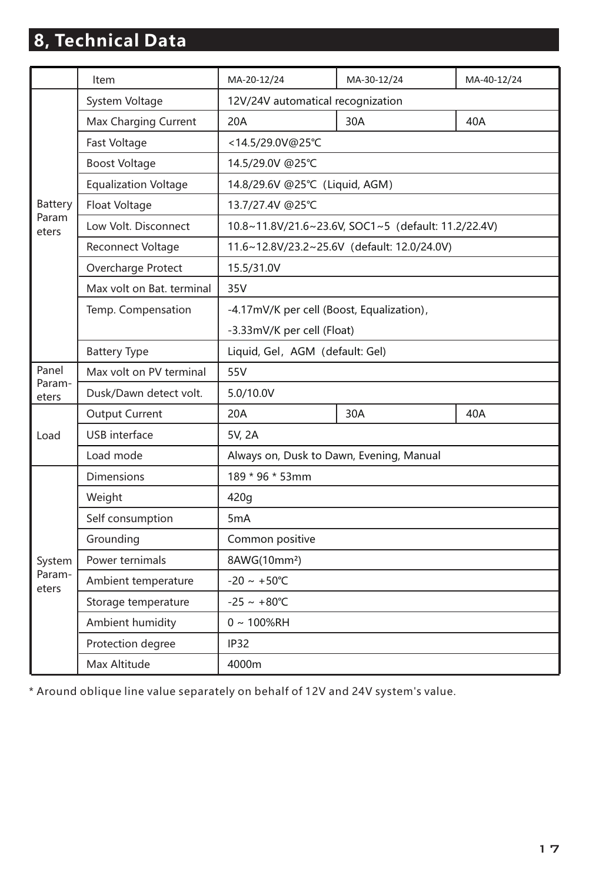# **8, Technical Data**

|                 | Item                        | MA-20-12/24                                         | MA-30-12/24 | MA-40-12/24 |  |  |
|-----------------|-----------------------------|-----------------------------------------------------|-------------|-------------|--|--|
|                 | System Voltage              | 12V/24V automatical recognization                   |             |             |  |  |
|                 | Max Charging Current        | 20A                                                 | 30A         | 40A         |  |  |
|                 | Fast Voltage                | <14.5/29.0V@25°C                                    |             |             |  |  |
|                 | <b>Boost Voltage</b>        | 14.5/29.0V @25°C                                    |             |             |  |  |
|                 | <b>Equalization Voltage</b> | 14.8/29.6V @25°C (Liquid, AGM)                      |             |             |  |  |
| Battery         | Float Voltage               | 13.7/27.4V @25°C                                    |             |             |  |  |
| Param<br>eters  | Low Volt. Disconnect        | 10.8~11.8V/21.6~23.6V, SOC1~5 (default: 11.2/22.4V) |             |             |  |  |
|                 | Reconnect Voltage           | 11.6~12.8V/23.2~25.6V (default: 12.0/24.0V)         |             |             |  |  |
|                 | Overcharge Protect          | 15.5/31.0V                                          |             |             |  |  |
|                 | Max volt on Bat, terminal   | 35V                                                 |             |             |  |  |
|                 | Temp. Compensation          | -4.17mV/K per cell (Boost, Equalization),           |             |             |  |  |
|                 |                             | -3.33mV/K per cell (Float)                          |             |             |  |  |
|                 | <b>Battery Type</b>         | Liquid, Gel, AGM (default: Gel)                     |             |             |  |  |
| Panel           | Max volt on PV terminal     | 55V                                                 |             |             |  |  |
| Param-<br>eters | Dusk/Dawn detect volt.      | 5.0/10.0V                                           |             |             |  |  |
|                 | <b>Output Current</b>       | 20A                                                 | 30A         | 40A         |  |  |
| Load            | <b>USB</b> interface        | 5V. 2A                                              |             |             |  |  |
|                 | Load mode                   | Always on, Dusk to Dawn, Evening, Manual            |             |             |  |  |
|                 | <b>Dimensions</b>           | 189 * 96 * 53mm                                     |             |             |  |  |
|                 | Weight                      | 420g                                                |             |             |  |  |
|                 | Self consumption            | 5 <sub>m</sub> A                                    |             |             |  |  |
|                 | Grounding                   | Common positive                                     |             |             |  |  |
| System          | Power ternimals             | 8AWG(10mm <sup>2</sup> )                            |             |             |  |  |
| Param-<br>eters | Ambient temperature         | $-20 \sim +50^{\circ}$ C                            |             |             |  |  |
|                 | Storage temperature         | $-25 - +80^{\circ}C$                                |             |             |  |  |
|                 | Ambient humidity            | $0 \sim 100\%$ RH                                   |             |             |  |  |
|                 | Protection degree           | <b>IP32</b>                                         |             |             |  |  |
|                 | Max Altitude                | 4000m                                               |             |             |  |  |

\* Around oblique line value separately on behalf of 12V and 24V system's value.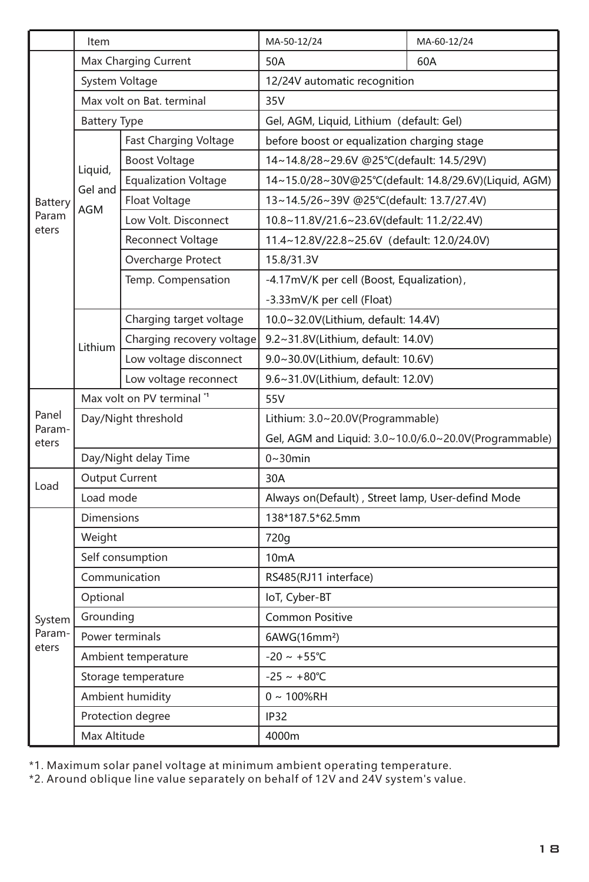|                           | Item                      |                             | MA-50-12/24                                           | MA-60-12/24 |
|---------------------------|---------------------------|-----------------------------|-------------------------------------------------------|-------------|
| Battery<br>Param<br>eters | Max Charging Current      |                             | 50A                                                   | 60A         |
|                           | System Voltage            |                             | 12/24V automatic recognition                          |             |
|                           | Max volt on Bat, terminal |                             | 35V                                                   |             |
|                           | <b>Battery Type</b>       |                             | Gel, AGM, Liquid, Lithium (default: Gel)              |             |
|                           | Liquid,<br>Gel and<br>AGM | Fast Charging Voltage       | before boost or equalization charging stage           |             |
|                           |                           | <b>Boost Voltage</b>        | 14~14.8/28~29.6V @25°C(default: 14.5/29V)             |             |
|                           |                           | <b>Equalization Voltage</b> | 14~15.0/28~30V@25°C(default: 14.8/29.6V)(Liquid, AGM) |             |
|                           |                           | Float Voltage               | 13~14.5/26~39V @25°C(default: 13.7/27.4V)             |             |
|                           |                           | Low Volt. Disconnect        | 10.8~11.8V/21.6~23.6V(default: 11.2/22.4V)            |             |
|                           |                           | <b>Reconnect Voltage</b>    | 11.4~12.8V/22.8~25.6V (default: 12.0/24.0V)           |             |
|                           |                           | Overcharge Protect          | 15.8/31.3V                                            |             |
|                           |                           | Temp. Compensation          | -4.17mV/K per cell (Boost, Equalization),             |             |
|                           |                           |                             | -3.33mV/K per cell (Float)                            |             |
|                           | Lithium                   | Charging target voltage     | 10.0~32.0V(Lithium, default: 14.4V)                   |             |
|                           |                           | Charging recovery voltage   | 9.2~31.8V(Lithium, default: 14.0V)                    |             |
|                           |                           | Low voltage disconnect      | 9.0~30.0V(Lithium, default: 10.6V)                    |             |
|                           |                           | Low voltage reconnect       | 9.6~31.0V(Lithium, default: 12.0V)                    |             |
|                           | Max volt on PV terminal " |                             | 55V                                                   |             |
| Panel                     | Day/Night threshold       |                             | Lithium: 3.0~20.0V(Programmable)                      |             |
| Param-<br>eters           |                           |                             | Gel, AGM and Liquid: 3.0~10.0/6.0~20.0V(Programmable) |             |
|                           | Day/Night delay Time      |                             | $0 \sim 30$ min                                       |             |
| Load                      | Output Current            |                             | 30A                                                   |             |
|                           | Load mode                 |                             | Always on(Default), Street lamp, User-defind Mode     |             |
| System<br>Param-<br>eters | Dimensions                |                             | 138*187.5*62.5mm                                      |             |
|                           | Weight                    |                             | 720g                                                  |             |
|                           | Self consumption          |                             | 10 <sub>m</sub> A                                     |             |
|                           | Communication             |                             | RS485(RJ11 interface)                                 |             |
|                           | Optional                  |                             | IoT, Cyber-BT                                         |             |
|                           | Grounding                 |                             | Common Positive                                       |             |
|                           | Power terminals           |                             | 6AWG(16mm <sup>2</sup> )                              |             |
|                           | Ambient temperature       |                             | $-20 \sim +55^{\circ}C$                               |             |
|                           | Storage temperature       |                             | $-25 - +80^{\circ}C$                                  |             |
|                           | Ambient humidity          |                             | $0 - 100%RH$                                          |             |
|                           | Protection degree         |                             | IP <sub>32</sub>                                      |             |
|                           | Max Altitude              |                             | 4000m                                                 |             |

\*1. Maximum solar panel voltage at minimum ambient operating temperature. \*2. Around oblique line value separately on behalf of 12V and 24V system's value.